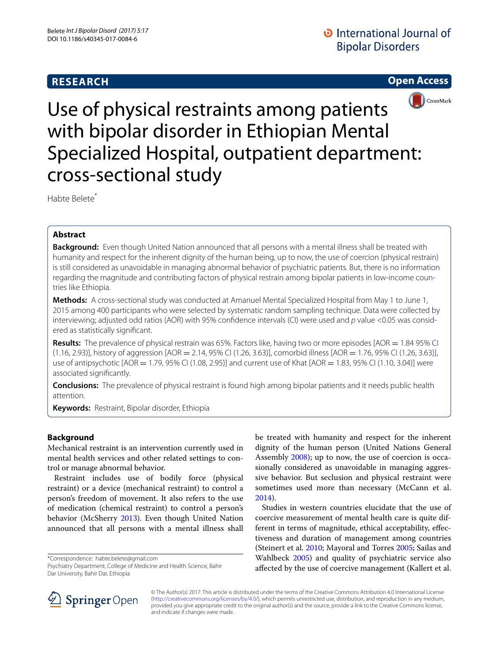# **RESEARCH**

**Open Access**



Use of physical restraints among patients with bipolar disorder in Ethiopian Mental Specialized Hospital, outpatient department: cross-sectional study

Habte Belete<sup>\*</sup>

## **Abstract**

**Background:** Even though United Nation announced that all persons with a mental illness shall be treated with humanity and respect for the inherent dignity of the human being, up to now, the use of coercion (physical restrain) is still considered as unavoidable in managing abnormal behavior of psychiatric patients. But, there is no information regarding the magnitude and contributing factors of physical restrain among bipolar patients in low-income countries like Ethiopia.

**Methods:** A cross-sectional study was conducted at Amanuel Mental Specialized Hospital from May 1 to June 1, 2015 among 400 participants who were selected by systematic random sampling technique. Data were collected by interviewing; adjusted odd ratios (AOR) with 95% confidence intervals (CI) were used and *p* value <0.05 was considered as statistically significant.

**Results:** The prevalence of physical restrain was 65%. Factors like, having two or more episodes [AOR = 1.84 95% CI  $(1.16, 2.93)$ ], history of aggression  $[AOR = 2.14, 95\% \text{ C}]$   $(1.26, 3.63)$ ], comorbid illness  $[AOR = 1.76, 95\% \text{ C}]$   $(1.26, 3.63)$ ], use of antipsychotic [AOR = 1.79, 95% CI (1.08, 2.95)] and current use of Khat [AOR = 1.83, 95% CI (1.10, 3.04)] were associated significantly.

**Conclusions:** The prevalence of physical restraint is found high among bipolar patients and it needs public health attention.

**Keywords:** Restraint, Bipolar disorder, Ethiopia

### **Background**

Mechanical restraint is an intervention currently used in mental health services and other related settings to control or manage abnormal behavior.

Restraint includes use of bodily force (physical restraint) or a device (mechanical restraint) to control a person's freedom of movement. It also refers to the use of medication (chemical restraint) to control a person's behavior (McSherry [2013\)](#page-5-0). Even though United Nation announced that all persons with a mental illness shall

\*Correspondence: habte.belete@gmail.com

Psychiatry Department, College of Medicine and Health Science, Bahir Dar University, Bahir Dar, Ethiopia

be treated with humanity and respect for the inherent dignity of the human person (United Nations General Assembly [2008](#page-5-1)); up to now, the use of coercion is occasionally considered as unavoidable in managing aggressive behavior. But seclusion and physical restraint were sometimes used more than necessary (McCann et al. [2014](#page-5-2)).

Studies in western countries elucidate that the use of coercive measurement of mental health care is quite different in terms of magnitude, ethical acceptability, effectiveness and duration of management among countries (Steinert et al. [2010;](#page-5-3) Mayoral and Torres [2005;](#page-5-4) Sailas and Wahlbeck [2005\)](#page-5-5) and quality of psychiatric service also affected by the use of coercive management (Kallert et al.



© The Author(s) 2017. This article is distributed under the terms of the Creative Commons Attribution 4.0 International License [\(http://creativecommons.org/licenses/by/4.0/\)](http://creativecommons.org/licenses/by/4.0/), which permits unrestricted use, distribution, and reproduction in any medium, provided you give appropriate credit to the original author(s) and the source, provide a link to the Creative Commons license, and indicate if changes were made.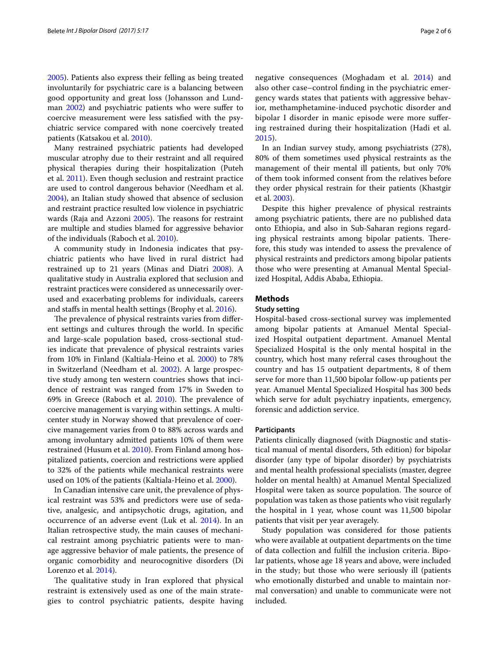[2005](#page-5-6)). Patients also express their felling as being treated involuntarily for psychiatric care is a balancing between good opportunity and great loss (Johansson and Lundman [2002\)](#page-5-7) and psychiatric patients who were suffer to coercive measurement were less satisfied with the psychiatric service compared with none coercively treated patients (Katsakou et al. [2010](#page-5-8)).

Many restrained psychiatric patients had developed muscular atrophy due to their restraint and all required physical therapies during their hospitalization (Puteh et al. [2011\)](#page-5-9). Even though seclusion and restraint practice are used to control dangerous behavior (Needham et al. [2004](#page-5-10)), an Italian study showed that absence of seclusion and restraint practice resulted low violence in psychiatric wards (Raja and Azzoni [2005](#page-5-11)). The reasons for restraint are multiple and studies blamed for aggressive behavior of the individuals (Raboch et al. [2010](#page-5-12)).

A community study in Indonesia indicates that psychiatric patients who have lived in rural district had restrained up to 21 years (Minas and Diatri [2008](#page-5-13)). A qualitative study in Australia explored that seclusion and restraint practices were considered as unnecessarily overused and exacerbating problems for individuals, careers and staffs in mental health settings (Brophy et al. [2016\)](#page-5-14).

The prevalence of physical restraints varies from different settings and cultures through the world. In specific and large-scale population based, cross-sectional studies indicate that prevalence of physical restraints varies from 10% in Finland (Kaltiala-Heino et al. [2000\)](#page-5-15) to 78% in Switzerland (Needham et al. [2002](#page-5-16)). A large prospective study among ten western countries shows that incidence of restraint was ranged from 17% in Sweden to 69% in Greece (Raboch et al. [2010\)](#page-5-12). The prevalence of coercive management is varying within settings. A multicenter study in Norway showed that prevalence of coercive management varies from 0 to 88% across wards and among involuntary admitted patients 10% of them were restrained (Husum et al. [2010](#page-5-17)). From Finland among hospitalized patients, coercion and restrictions were applied to 32% of the patients while mechanical restraints were used on 10% of the patients (Kaltiala-Heino et al. [2000](#page-5-15)).

In Canadian intensive care unit, the prevalence of physical restraint was 53% and predictors were use of sedative, analgesic, and antipsychotic drugs, agitation, and occurrence of an adverse event (Luk et al. [2014\)](#page-5-18). In an Italian retrospective study, the main causes of mechanical restraint among psychiatric patients were to manage aggressive behavior of male patients, the presence of organic comorbidity and neurocognitive disorders (Di Lorenzo et al. [2014](#page-5-19)).

The qualitative study in Iran explored that physical restraint is extensively used as one of the main strategies to control psychiatric patients, despite having negative consequences (Moghadam et al. [2014](#page-5-20)) and also other case–control finding in the psychiatric emergency wards states that patients with aggressive behavior, methamphetamine-induced psychotic disorder and bipolar I disorder in manic episode were more suffering restrained during their hospitalization (Hadi et al. [2015\)](#page-5-21).

In an Indian survey study, among psychiatrists (278), 80% of them sometimes used physical restraints as the management of their mental ill patients, but only 70% of them took informed consent from the relatives before they order physical restrain for their patients (Khastgir et al. [2003](#page-5-22)).

Despite this higher prevalence of physical restraints among psychiatric patients, there are no published data onto Ethiopia, and also in Sub-Saharan regions regarding physical restraints among bipolar patients. Therefore, this study was intended to assess the prevalence of physical restraints and predictors among bipolar patients those who were presenting at Amanual Mental Specialized Hospital, Addis Ababa, Ethiopia.

### **Methods**

#### **Study setting**

Hospital-based cross-sectional survey was implemented among bipolar patients at Amanuel Mental Specialized Hospital outpatient department. Amanuel Mental Specialized Hospital is the only mental hospital in the country, which host many referral cases throughout the country and has 15 outpatient departments, 8 of them serve for more than 11,500 bipolar follow-up patients per year. Amanuel Mental Specialized Hospital has 300 beds which serve for adult psychiatry inpatients, emergency, forensic and addiction service.

#### **Participants**

Patients clinically diagnosed (with Diagnostic and statistical manual of mental disorders, 5th edition) for bipolar disorder (any type of bipolar disorder) by psychiatrists and mental health professional specialists (master, degree holder on mental health) at Amanuel Mental Specialized Hospital were taken as source population. The source of population was taken as those patients who visit regularly the hospital in 1 year, whose count was 11,500 bipolar patients that visit per year averagely.

Study population was considered for those patients who were available at outpatient departments on the time of data collection and fulfill the inclusion criteria. Bipolar patients, whose age 18 years and above, were included in the study; but those who were seriously ill (patients who emotionally disturbed and unable to maintain normal conversation) and unable to communicate were not included.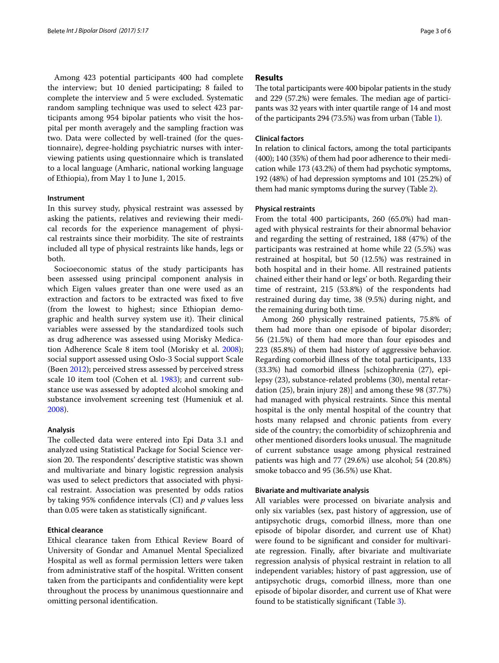Among 423 potential participants 400 had complete the interview; but 10 denied participating; 8 failed to complete the interview and 5 were excluded. Systematic random sampling technique was used to select 423 participants among 954 bipolar patients who visit the hospital per month averagely and the sampling fraction was two. Data were collected by well-trained (for the questionnaire), degree-holding psychiatric nurses with interviewing patients using questionnaire which is translated to a local language (Amharic, national working language of Ethiopia), from May 1 to June 1, 2015.

#### **Instrument**

In this survey study, physical restraint was assessed by asking the patients, relatives and reviewing their medical records for the experience management of physical restraints since their morbidity. The site of restraints included all type of physical restraints like hands, legs or both.

Socioeconomic status of the study participants has been assessed using principal component analysis in which Eigen values greater than one were used as an extraction and factors to be extracted was fixed to five (from the lowest to highest; since Ethiopian demographic and health survey system use it). Their clinical variables were assessed by the standardized tools such as drug adherence was assessed using Morisky Medication Adherence Scale 8 item tool (Morisky et al. [2008](#page-5-23)); social support assessed using Oslo-3 Social support Scale (Bøen [2012](#page-5-24)); perceived stress assessed by perceived stress scale 10 item tool (Cohen et al. [1983\)](#page-5-25); and current substance use was assessed by adopted alcohol smoking and substance involvement screening test (Humeniuk et al. [2008](#page-5-26)).

#### **Analysis**

The collected data were entered into Epi Data 3.1 and analyzed using Statistical Package for Social Science version 20. The respondents' descriptive statistic was shown and multivariate and binary logistic regression analysis was used to select predictors that associated with physical restraint. Association was presented by odds ratios by taking 95% confidence intervals (CI) and *p* values less than 0.05 were taken as statistically significant.

### **Ethical clearance**

Ethical clearance taken from Ethical Review Board of University of Gondar and Amanuel Mental Specialized Hospital as well as formal permission letters were taken from administrative staff of the hospital. Written consent taken from the participants and confidentiality were kept throughout the process by unanimous questionnaire and omitting personal identification.

#### **Results**

The total participants were 400 bipolar patients in the study and 229 (57.2%) were females. The median age of participants was 32 years with inter quartile range of 14 and most of the participants 294 (73.5%) was from urban (Table [1\)](#page-3-0).

#### **Clinical factors**

In relation to clinical factors, among the total participants (400); 140 (35%) of them had poor adherence to their medication while 173 (43.2%) of them had psychotic symptoms, 192 (48%) of had depression symptoms and 101 (25.2%) of them had manic symptoms during the survey (Table [2](#page-3-1)).

#### **Physical restraints**

From the total 400 participants, 260 (65.0%) had managed with physical restraints for their abnormal behavior and regarding the setting of restrained, 188 (47%) of the participants was restrained at home while 22 (5.5%) was restrained at hospital, but 50 (12.5%) was restrained in both hospital and in their home. All restrained patients chained either their hand or legs' or both. Regarding their time of restraint, 215 (53.8%) of the respondents had restrained during day time, 38 (9.5%) during night, and the remaining during both time.

Among 260 physically restrained patients, 75.8% of them had more than one episode of bipolar disorder; 56 (21.5%) of them had more than four episodes and 223 (85.8%) of them had history of aggressive behavior. Regarding comorbid illness of the total participants, 133 (33.3%) had comorbid illness [schizophrenia (27), epilepsy (23), substance-related problems (30), mental retardation (25), brain injury 28)] and among these 98 (37.7%) had managed with physical restraints. Since this mental hospital is the only mental hospital of the country that hosts many relapsed and chronic patients from every side of the country; the comorbidity of schizophrenia and other mentioned disorders looks unusual. The magnitude of current substance usage among physical restrained patients was high and 77 (29.6%) use alcohol; 54 (20.8%) smoke tobacco and 95 (36.5%) use Khat.

#### **Bivariate and multivariate analysis**

All variables were processed on bivariate analysis and only six variables (sex, past history of aggression, use of antipsychotic drugs, comorbid illness, more than one episode of bipolar disorder, and current use of Khat) were found to be significant and consider for multivariate regression. Finally, after bivariate and multivariate regression analysis of physical restraint in relation to all independent variables; history of past aggression, use of antipsychotic drugs, comorbid illness, more than one episode of bipolar disorder, and current use of Khat were found to be statistically significant (Table [3](#page-4-0)).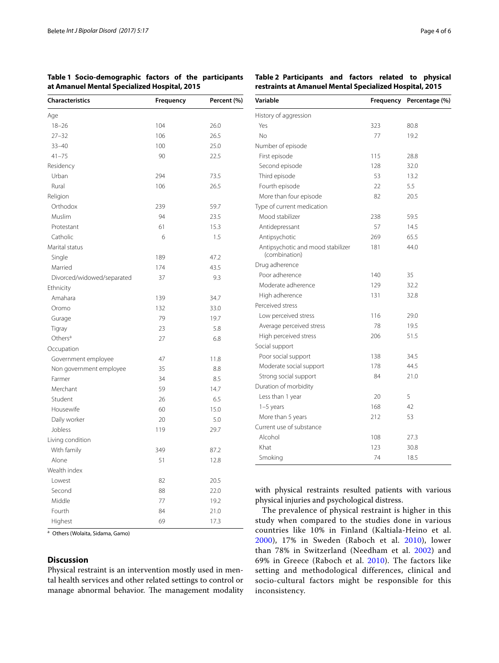<span id="page-3-0"></span>**Table 1 Socio-demographic factors of the participants at Amanuel Mental Specialized Hospital, 2015**

| <b>Characteristics</b>     | Frequency | Percent (%) |  |
|----------------------------|-----------|-------------|--|
| Age                        |           |             |  |
| $18 - 26$                  | 104       | 26.0        |  |
| $27 - 32$                  | 106       | 26.5        |  |
| $33 - 40$                  | 100       | 25.0        |  |
| $41 - 75$                  | 90        | 22.5        |  |
| Residency                  |           |             |  |
| Urban                      | 294       | 73.5        |  |
| Rural                      | 106       | 26.5        |  |
| Religion                   |           |             |  |
| Orthodox                   | 239       | 59.7        |  |
| Muslim                     | 94        | 23.5        |  |
| Protestant                 | 61        | 15.3        |  |
| Catholic                   | 6         | 1.5         |  |
| Marital status             |           |             |  |
| Single                     | 189       | 47.2        |  |
| Married                    | 174       | 43.5        |  |
| Divorced/widowed/separated | 37        | 9.3         |  |
| Ethnicity                  |           |             |  |
| Amahara                    | 139       | 34.7        |  |
| Oromo                      | 132       | 33.0        |  |
| Gurage                     | 79        | 19.7        |  |
| Tigray                     | 23        | 5.8         |  |
| Others <sup>a</sup>        | 27        | 6.8         |  |
| Occupation                 |           |             |  |
| Government employee        | 47        | 11.8        |  |
| Non government employee    | 35        | 8.8         |  |
| Farmer                     | 34        | 8.5         |  |
| Merchant                   | 59        | 14.7        |  |
| Student                    | 26        | 6.5         |  |
| Housewife                  | 60        | 15.0        |  |
| Daily worker               | 20        | 5.0         |  |
| Jobless                    | 119       | 29.7        |  |
| Living condition           |           |             |  |
| With family                | 349       | 87.2        |  |
| Alone                      | 51        | 12.8        |  |
| Wealth index               |           |             |  |
| Lowest                     | 82        | 20.5        |  |
| Second                     | 88        | 22.0        |  |
| Middle                     | 77        | 19.2        |  |
| Fourth                     | 84        | 21.0        |  |
| Highest                    | 69        | 17.3        |  |

<sup>a</sup> Others (Wolaita, Sidama, Gamo)

### **Discussion**

Physical restraint is an intervention mostly used in mental health services and other related settings to control or manage abnormal behavior. The management modality

<span id="page-3-1"></span>**Table 2 Participants and factors related to physical restraints at Amanuel Mental Specialized Hospital, 2015**

| Variable                                           | Frequency | Percentage (%) |  |
|----------------------------------------------------|-----------|----------------|--|
| History of aggression                              |           |                |  |
| Yes                                                | 323       | 80.8           |  |
| No                                                 | 77        | 19.2           |  |
| Number of episode                                  |           |                |  |
| First episode                                      | 115       | 28.8           |  |
| Second episode                                     | 128       | 32.0           |  |
| Third episode                                      | 53        | 13.2           |  |
| Fourth episode                                     | 22        | 5.5            |  |
| More than four episode                             | 82        | 20.5           |  |
| Type of current medication                         |           |                |  |
| Mood stabilizer                                    | 238       | 59.5           |  |
| Antidepressant                                     | 57        | 14.5           |  |
| Antipsychotic                                      | 269       | 65.5           |  |
| Antipsychotic and mood stabilizer<br>(combination) | 181       | 44.0           |  |
| Drug adherence                                     |           |                |  |
| Poor adherence                                     | 140       | 35             |  |
| Moderate adherence                                 | 129       | 32.2           |  |
| High adherence                                     | 131       | 32.8           |  |
| Perceived stress                                   |           |                |  |
| Low perceived stress                               | 116       | 29.0           |  |
| Average perceived stress                           | 78        | 19.5           |  |
| High perceived stress                              | 206       | 51.5           |  |
| Social support                                     |           |                |  |
| Poor social support                                | 138       | 34.5           |  |
| Moderate social support                            | 178       | 44.5           |  |
| Strong social support                              | 84        | 21.0           |  |
| Duration of morbidity                              |           |                |  |
| Less than 1 year                                   | 20        | 5              |  |
| $1-5$ years                                        | 168       | 42             |  |
| More than 5 years                                  | 212       | 53             |  |
| Current use of substance                           |           |                |  |
| Alcohol                                            | 108       | 27.3           |  |
| Khat                                               | 123       | 30.8           |  |
| Smoking                                            | 74        | 18.5           |  |

with physical restraints resulted patients with various physical injuries and psychological distress.

The prevalence of physical restraint is higher in this study when compared to the studies done in various countries like 10% in Finland (Kaltiala-Heino et al. [2000](#page-5-15)), 17% in Sweden (Raboch et al. [2010](#page-5-12)), lower than 78% in Switzerland (Needham et al. [2002](#page-5-16)) and 69% in Greece (Raboch et al. [2010](#page-5-12)). The factors like setting and methodological differences, clinical and socio-cultural factors might be responsible for this inconsistency.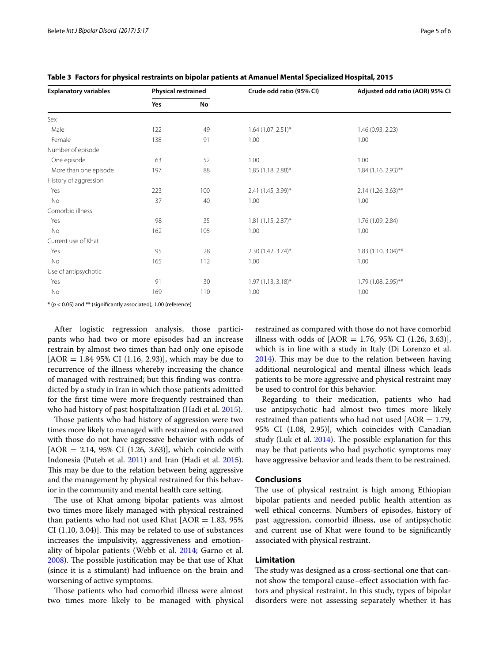| <b>Explanatory variables</b> | <b>Physical restrained</b> |     | Crude odd ratio (95% CI) | Adjusted odd ratio (AOR) 95% CI |
|------------------------------|----------------------------|-----|--------------------------|---------------------------------|
|                              | Yes                        | No  |                          |                                 |
| Sex                          |                            |     |                          |                                 |
| Male                         | 122                        | 49  | $1.64$ (1.07, 2.51)*     | 1.46 (0.93, 2.23)               |
| Female                       | 138                        | 91  | 1.00                     | 1.00                            |
| Number of episode            |                            |     |                          |                                 |
| One episode                  | 63                         | 52  | 1.00                     | 1.00                            |
| More than one episode        | 197                        | 88  | $1.85(1.18, 2.88)$ *     | $1.84$ (1.16, 2.93)**           |
| History of aggression        |                            |     |                          |                                 |
| Yes                          | 223                        | 100 | 2.41 (1.45, 3.99)*       | $2.14$ (1.26, 3.63)**           |
| No                           | 37                         | 40  | 1.00                     | 1.00                            |
| Comorbid illness             |                            |     |                          |                                 |
| Yes                          | 98                         | 35  | $1.81(1.15, 2.87)^{*}$   | 1.76 (1.09, 2.84)               |
| No                           | 162                        | 105 | 1.00                     | 1.00                            |
| Current use of Khat          |                            |     |                          |                                 |
| Yes                          | 95                         | 28  | $2.30(1.42, 3.74)^{*}$   | $1.83(1.10, 3.04)$ **           |
| No                           | 165                        | 112 | 1.00                     | 1.00                            |
| Use of antipsychotic         |                            |     |                          |                                 |
| Yes                          | 91                         | 30  | $1.97(1.13, 3.18)^{*}$   | 1.79 (1.08, 2.95)**             |
| No                           | 169                        | 110 | 1.00                     | 1.00                            |

<span id="page-4-0"></span>**Table 3 Factors for physical restraints on bipolar patients at Amanuel Mental Specialized Hospital, 2015**

\* (*p* < 0.05) and \*\* (significantly associated), 1.00 (reference)

After logistic regression analysis, those participants who had two or more episodes had an increase restrain by almost two times than had only one episode  $[AOR = 1.84 95\% \text{ CI } (1.16, 2.93)]$ , which may be due to recurrence of the illness whereby increasing the chance of managed with restrained; but this finding was contradicted by a study in Iran in which those patients admitted for the first time were more frequently restrained than who had history of past hospitalization (Hadi et al. [2015](#page-5-21)).

Those patients who had history of aggression were two times more likely to managed with restrained as compared with those do not have aggressive behavior with odds of  $[AOR = 2.14, 95\% \text{ CI } (1.26, 3.63)]$ , which coincide with Indonesia (Puteh et al. [2011\)](#page-5-9) and Iran (Hadi et al. [2015](#page-5-21)). This may be due to the relation between being aggressive and the management by physical restrained for this behavior in the community and mental health care setting.

The use of Khat among bipolar patients was almost two times more likely managed with physical restrained than patients who had not used Khat  $[AOR = 1.83, 95\%$ CI (1.10, 3.04)]. This may be related to use of substances increases the impulsivity, aggressiveness and emotionality of bipolar patients (Webb et al. [2014;](#page-5-27) Garno et al. [2008](#page-5-28)). The possible justification may be that use of Khat (since it is a stimulant) had influence on the brain and worsening of active symptoms.

Those patients who had comorbid illness were almost two times more likely to be managed with physical restrained as compared with those do not have comorbid illness with odds of  $[AOR = 1.76, 95\% \text{ CI } (1.26, 3.63)],$ which is in line with a study in Italy (Di Lorenzo et al. [2014](#page-5-19)). This may be due to the relation between having additional neurological and mental illness which leads patients to be more aggressive and physical restraint may be used to control for this behavior.

Regarding to their medication, patients who had use antipsychotic had almost two times more likely restrained than patients who had not used  $[AOR = 1.79,$ 95% CI (1.08, 2.95)], which coincides with Canadian study (Luk et al. [2014\)](#page-5-18). The possible explanation for this may be that patients who had psychotic symptoms may have aggressive behavior and leads them to be restrained.

#### **Conclusions**

The use of physical restraint is high among Ethiopian bipolar patients and needed public health attention as well ethical concerns. Numbers of episodes, history of past aggression, comorbid illness, use of antipsychotic and current use of Khat were found to be significantly associated with physical restraint.

#### **Limitation**

The study was designed as a cross-sectional one that cannot show the temporal cause–effect association with factors and physical restraint. In this study, types of bipolar disorders were not assessing separately whether it has